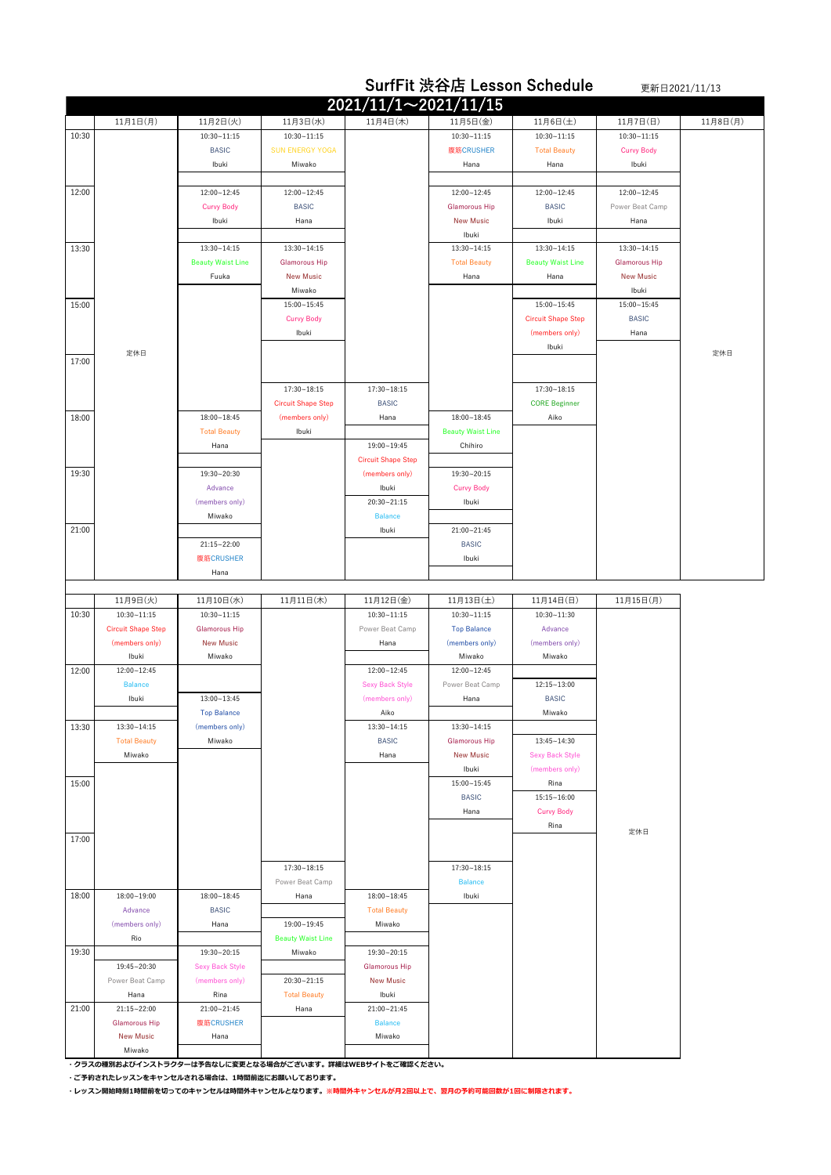|       |                                              |                                         |                             |                                    | <b>SurfFit 渋谷店 Lesson Schedule</b>       |                           |                         | 更新日2021/11/13 |
|-------|----------------------------------------------|-----------------------------------------|-----------------------------|------------------------------------|------------------------------------------|---------------------------|-------------------------|---------------|
|       |                                              |                                         |                             | $2021/11/1 \sim 2021/11/15$        |                                          |                           |                         |               |
|       | 11月1日(月)                                     | 11月2日(火)                                | 11月3日(水)                    | 11月4日(木)                           | 11月5日(金)                                 | 11月6日(土)                  | 11月7日(日)                | 11月8日(月)      |
| 10:30 |                                              | $10:30 - 11:15$                         | $10:30 - 11:15$             |                                    | $10:30 - 11:15$                          | $10:30 - 11:15$           | $10:30 - 11:15$         |               |
|       |                                              | <b>BASIC</b>                            | <b>SUN ENERGY YOGA</b>      |                                    | 腹筋CRUSHER                                | <b>Total Beauty</b>       | <b>Curvy Body</b>       |               |
|       |                                              | Ibuki                                   | Miwako                      |                                    | Hana                                     | Hana                      | Ibuki                   |               |
|       |                                              |                                         |                             |                                    |                                          |                           |                         |               |
| 12:00 |                                              | 12:00~12:45                             | 12:00~12:45                 |                                    | 12:00~12:45                              | 12:00~12:45               | 12:00~12:45             |               |
|       |                                              | <b>Curvy Body</b>                       | <b>BASIC</b><br>Hana        |                                    | <b>Glamorous Hip</b><br><b>New Music</b> | <b>BASIC</b><br>Ibuki     | Power Beat Camp<br>Hana |               |
|       |                                              | Ibuki                                   |                             |                                    | Ibuki                                    |                           |                         |               |
| 13:30 |                                              | 13:30~14:15                             | 13:30~14:15                 |                                    | $13:30 - 14:15$                          | 13:30~14:15               | 13:30~14:15             |               |
|       |                                              | <b>Beauty Waist Line</b>                | <b>Glamorous Hip</b>        |                                    | <b>Total Beauty</b>                      | <b>Beauty Waist Line</b>  | <b>Glamorous Hip</b>    |               |
|       |                                              | Fuuka                                   | <b>New Music</b>            |                                    | Hana                                     | Hana                      | <b>New Music</b>        |               |
|       |                                              |                                         | Miwako                      |                                    |                                          |                           | Ibuki                   |               |
| 15:00 |                                              |                                         | $15:00 - 15:45$             |                                    |                                          | 15:00~15:45               | 15:00~15:45             |               |
|       |                                              |                                         | <b>Curvy Body</b>           |                                    |                                          | <b>Circuit Shape Step</b> | <b>BASIC</b>            |               |
|       |                                              |                                         | Ibuki                       |                                    |                                          | (members only)            | Hana                    |               |
| 17:00 | 定休日                                          |                                         |                             |                                    |                                          | Ibuki                     |                         | 定休日           |
|       |                                              |                                         |                             |                                    |                                          |                           |                         |               |
|       |                                              |                                         | 17:30~18:15                 | $17:30 - 18:15$                    |                                          | 17:30~18:15               |                         |               |
|       |                                              |                                         | <b>Circuit Shape Step</b>   | <b>BASIC</b>                       |                                          | <b>CORE Beginner</b>      |                         |               |
| 18:00 |                                              | 18:00~18:45                             | (members only)              | Hana                               | $18:00 - 18:45$                          | Aiko                      |                         |               |
|       |                                              | <b>Total Beauty</b>                     | Ibuki                       |                                    | <b>Beauty Waist Line</b>                 |                           |                         |               |
|       |                                              | Hana                                    |                             | 19:00~19:45                        | Chihiro                                  |                           |                         |               |
|       |                                              |                                         |                             | <b>Circuit Shape Step</b>          |                                          |                           |                         |               |
| 19:30 |                                              | 19:30~20:30                             |                             | (members only)                     | 19:30~20:15                              |                           |                         |               |
|       |                                              | Advance<br>(members only)               |                             | Ibuki<br>20:30~21:15               | <b>Curvy Body</b><br>Ibuki               |                           |                         |               |
|       |                                              | Miwako                                  |                             | <b>Balance</b>                     |                                          |                           |                         |               |
| 21:00 |                                              |                                         |                             | Ibuki                              | 21:00~21:45                              |                           |                         |               |
|       |                                              | 21:15~22:00                             |                             |                                    | <b>BASIC</b>                             |                           |                         |               |
|       |                                              | 腹筋CRUSHER                               |                             |                                    | Ibuki                                    |                           |                         |               |
|       |                                              | Hana                                    |                             |                                    |                                          |                           |                         |               |
|       |                                              |                                         |                             |                                    |                                          |                           |                         |               |
|       |                                              |                                         |                             |                                    |                                          |                           |                         |               |
|       | 11月9日(火)                                     | 11月10日(水)                               | 11月11日(木)                   | 11月12日(金)                          | 11月13日(土)                                | 11月14日(日)                 | 11月15日(月)               |               |
| 10:30 | $10:30 - 11:15$<br><b>Circuit Shape Step</b> | $10:30 - 11:15$<br><b>Glamorous Hip</b> |                             | $10:30 - 11:15$<br>Power Beat Camp | $10:30 - 11:15$<br><b>Top Balance</b>    | 10:30~11:30<br>Advance    |                         |               |
|       | (members only)                               | <b>New Music</b>                        |                             | Hana                               | (members only)                           | (members only)            |                         |               |
|       | Ibuki                                        | Miwako                                  |                             |                                    | Miwako                                   | Miwako                    |                         |               |
| 12:00 | 12:00~12:45                                  |                                         |                             | 12:00~12:45                        | 12:00~12:45                              |                           |                         |               |
|       | <b>Balance</b>                               |                                         |                             | <b>Sexy Back Style</b>             | Power Beat Camp                          | 12:15~13:00               |                         |               |
|       | Ibuki                                        | $13:00 - 13:45$                         |                             | (members only)                     | Hana                                     | <b>BASIC</b>              |                         |               |
|       |                                              | <b>Top Balance</b>                      |                             | Aiko                               |                                          | Miwako                    |                         |               |
| 13:30 | 13:30~14:15                                  | (members only)<br>Miwako                |                             | $13:30 - 14:15$<br><b>BASIC</b>    | $13:30 - 14:15$<br><b>Glamorous Hip</b>  | 13:45~14:30               |                         |               |
|       | <b>Total Beauty</b><br>Miwako                |                                         |                             | Hana                               | <b>New Music</b>                         | <b>Sexy Back Style</b>    |                         |               |
|       |                                              |                                         |                             |                                    | Ibuki                                    | (members only)            |                         |               |
| 15:00 |                                              |                                         |                             |                                    | 15:00~15:45                              | Rina                      |                         |               |
|       |                                              |                                         |                             |                                    | <b>BASIC</b>                             | $15:15 - 16:00$           |                         |               |
|       |                                              |                                         |                             |                                    | Hana                                     | <b>Curvy Body</b>         |                         |               |
|       |                                              |                                         |                             |                                    |                                          | Rina                      | 定休日                     |               |
| 17:00 |                                              |                                         |                             |                                    |                                          |                           |                         |               |
|       |                                              |                                         | $17:30 - 18:15$             |                                    | 17:30~18:15                              |                           |                         |               |
|       |                                              |                                         | Power Beat Camp             |                                    | <b>Balance</b>                           |                           |                         |               |
| 18:00 | 18:00~19:00                                  | $18:00 - 18:45$                         | Hana                        | $18:00 - 18:45$                    | Ibuki                                    |                           |                         |               |
|       | Advance                                      | <b>BASIC</b>                            |                             | <b>Total Beauty</b>                |                                          |                           |                         |               |
|       | (members only)                               | Hana                                    | 19:00~19:45                 | Miwako                             |                                          |                           |                         |               |
|       | Rio                                          |                                         | <b>Beauty Waist Line</b>    |                                    |                                          |                           |                         |               |
| 19:30 |                                              | 19:30~20:15                             | Miwako                      | 19:30~20:15                        |                                          |                           |                         |               |
|       | 19:45~20:30                                  | <b>Sexy Back Style</b>                  |                             | <b>Glamorous Hip</b>               |                                          |                           |                         |               |
|       | Power Beat Camp                              | (members only)                          | 20:30~21:15                 | <b>New Music</b>                   |                                          |                           |                         |               |
|       | Hana                                         | Rina<br>21:00~21:45                     | <b>Total Beauty</b><br>Hana | Ibuki<br>21:00~21:45               |                                          |                           |                         |               |
| 21:00 | 21:15~22:00<br><b>Glamorous Hip</b>          | 腹筋CRUSHER                               |                             | <b>Balance</b>                     |                                          |                           |                         |               |
|       | <b>New Music</b>                             | Hana                                    |                             | Miwako                             |                                          |                           |                         |               |

**・クラスの種別およびインストラクターは予告なしに変更となる場合がございます。詳細はWEBサイトをご確認ください。**

**・ご予約されたレッスンをキャンセルされる場合は、1時間前迄にお願いしております。**

**・レッスン開始時刻1時間前を切ってのキャンセルは時間外キャンセルとなります。※時間外キャンセルが月2回以上で、翌月の予約可能回数が1回に制限されます。**